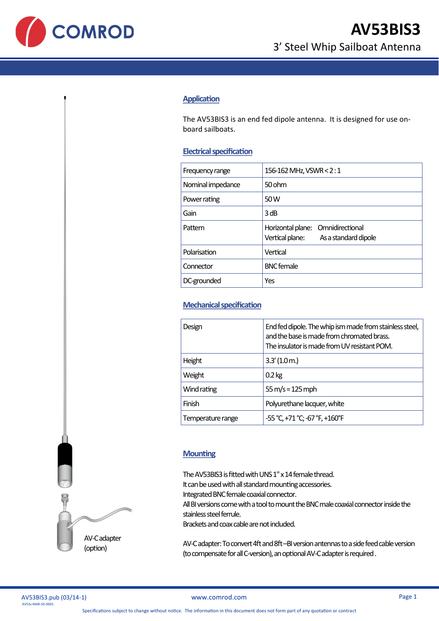

## **Application**

The AV53BIS3 is an end fed dipole antenna. It is designed for use onboard sailboats.

## **Electrical specification**

| 156-162 MHz, VSWR < 2:1                                                      |
|------------------------------------------------------------------------------|
| 50 ohm                                                                       |
| 50 W                                                                         |
| 3 dB                                                                         |
| Horizontal plane: Omnidirectional<br>Vertical plane:<br>As a standard dipole |
| Vertical                                                                     |
| <b>BNC</b> female                                                            |
| Yes                                                                          |
|                                                                              |

## **Mechanical specification**

| Design            | End fed dipole. The whip ism made from stainless steel,<br>and the base is made from chromated brass.<br>The insulator is made from UV resistant POM. |
|-------------------|-------------------------------------------------------------------------------------------------------------------------------------------------------|
| Height            | 3.3'(1.0 <sub>m</sub> )                                                                                                                               |
| Weight            | $0.2$ kg                                                                                                                                              |
| Wind rating       | $55 \text{ m/s} = 125 \text{ mph}$                                                                                                                    |
| Finish            | Polyurethane lacquer, white                                                                                                                           |
| Temperature range | -55 °C, +71 °C; -67 °F, +160°F                                                                                                                        |
|                   |                                                                                                                                                       |

## **Mounting**

The AV53BIS3 is fitted with UNS 1" x 14 female thread. It can be used with all standard mounting accessories. Integrated BNC female coaxial connector. All BI versions come with a tool to mount the BNC male coaxial connector inside the stainless steel ferrule. Brackets and coax cable are not included.

AV-C adapter: To convert 4ft and 8ft –BI version antennas to a side feed cable version (to compensate for all C-version), an optional AV-C adapter is required .